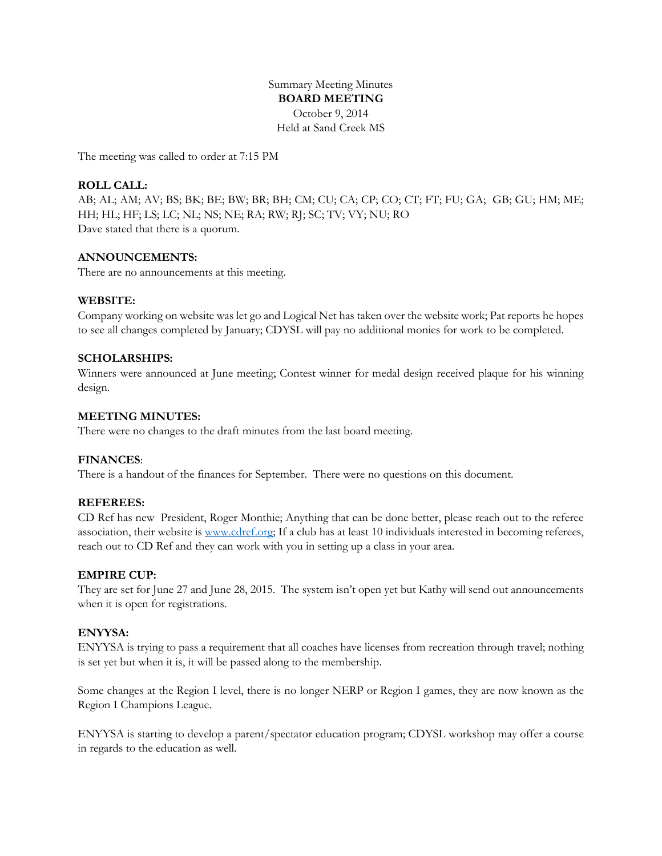Summary Meeting Minutes **BOARD MEETING** October 9, 2014 Held at Sand Creek MS

The meeting was called to order at 7:15 PM

# **ROLL CALL:**

AB; AL; AM; AV; BS; BK; BE; BW; BR; BH; CM; CU; CA; CP; CO; CT; FT; FU; GA; GB; GU; HM; ME; HH; HL; HF; LS; LC; NL; NS; NE; RA; RW; RJ; SC; TV; VY; NU; RO Dave stated that there is a quorum.

### **ANNOUNCEMENTS:**

There are no announcements at this meeting.

### **WEBSITE:**

Company working on website was let go and Logical Net has taken over the website work; Pat reports he hopes to see all changes completed by January; CDYSL will pay no additional monies for work to be completed.

### **SCHOLARSHIPS:**

Winners were announced at June meeting; Contest winner for medal design received plaque for his winning design.

### **MEETING MINUTES:**

There were no changes to the draft minutes from the last board meeting.

### **FINANCES**:

There is a handout of the finances for September. There were no questions on this document.

### **REFEREES:**

CD Ref has new President, Roger Monthie; Anything that can be done better, please reach out to the referee association, their website is [www.cdref.org;](http://www.cdref.org/) If a club has at least 10 individuals interested in becoming referees, reach out to CD Ref and they can work with you in setting up a class in your area.

### **EMPIRE CUP:**

They are set for June 27 and June 28, 2015. The system isn't open yet but Kathy will send out announcements when it is open for registrations.

### **ENYYSA:**

ENYYSA is trying to pass a requirement that all coaches have licenses from recreation through travel; nothing is set yet but when it is, it will be passed along to the membership.

Some changes at the Region I level, there is no longer NERP or Region I games, they are now known as the Region I Champions League.

ENYYSA is starting to develop a parent/spectator education program; CDYSL workshop may offer a course in regards to the education as well.